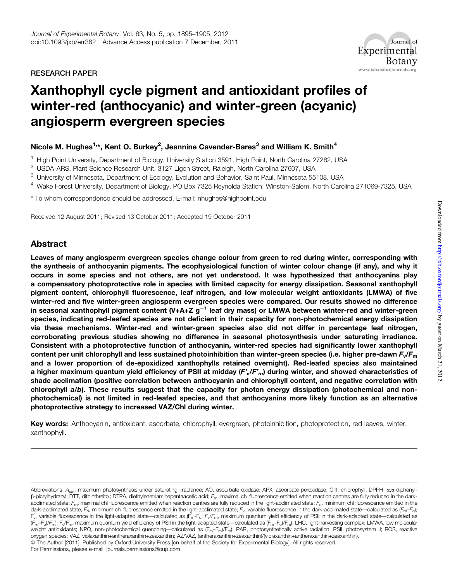RESEARCH PAPER



# Xanthophyll cycle pigment and antioxidant profiles of winter-red (anthocyanic) and winter-green (acyanic) angiosperm evergreen species

# Nicole M. Hughes<sup>1,</sup>\*, Kent O. Burkey<sup>2</sup>, Jeannine Cavender-Bares<sup>3</sup> and William K. Smith<sup>4</sup>

<sup>1</sup> High Point University, Department of Biology, University Station 3591, High Point, North Carolina 27262, USA

<sup>2</sup> USDA-ARS, Plant Science Research Unit, 3127 Ligon Street, Raleigh, North Carolina 27607, USA

- <sup>3</sup> University of Minnesota, Department of Ecology, Evolution and Behavior, Saint Paul, Minnesota 55108, USA
- <sup>4</sup> Wake Forest University, Department of Biology, PO Box 7325 Reynolda Station, Winston-Salem, North Carolina 271069-7325, USA

\* To whom correspondence should be addressed. E-mail: nhughes@highpoint.edu

Received 12 August 2011; Revised 13 October 2011; Accepted 19 October 2011

# Abstract

Leaves of many angiosperm evergreen species change colour from green to red during winter, corresponding with the synthesis of anthocyanin pigments. The ecophysiological function of winter colour change (if any), and why it occurs in some species and not others, are not yet understood. It was hypothesized that anthocyanins play a compensatory photoprotective role in species with limited capacity for energy dissipation. Seasonal xanthophyll pigment content, chlorophyll fluorescence, leaf nitrogen, and low molecular weight antioxidants (LMWA) of five winter-red and five winter-green angiosperm evergreen species were compared. Our results showed no difference in seasonal xanthophyll pigment content  $(V+A+Z g^{-1}$  leaf dry mass) or LMWA between winter-red and winter-green species, indicating red-leafed species are not deficient in their capacity for non-photochemical energy dissipation via these mechanisms. Winter-red and winter-green species also did not differ in percentage leaf nitrogen, corroborating previous studies showing no difference in seasonal photosynthesis under saturating irradiance. Consistent with a photoprotective function of anthocyanin, winter-red species had significantly lower xanthophyll content per unit chlorophyll and less sustained photoinhibition than winter-green species (i.e. higher pre-dawn  $F_v/F_m$ and a lower proportion of de-epoxidized xanthophylls retained overnight). Red-leafed species also maintained a higher maximum quantum yield efficiency of PSII at midday  $(F'/F')$  during winter, and showed characteristics of shade acclimation (positive correlation between anthocyanin and chlorophyll content, and negative correlation with chlorophyll a/b). These results suggest that the capacity for photon energy dissipation (photochemical and nonphotochemical) is not limited in red-leafed species, and that anthocyanins more likely function as an alternative photoprotective strategy to increased VAZ/Chl during winter.

Key words: Anthocyanin, antioxidant, ascorbate, chlorophyll, evergreen, photoinhibition, photoprotection, red leaves, winter, xanthophyll.

Abbreviations: A<sub>sat</sub>, maximum photosynthesis under saturating irradiance; AO, ascorbate oxidase; APX, ascorbate peroxidase; Chl, chlorophyll; DPPH, α,α-diphenyl- $\beta$ -picrylhydrazyl; DTT, dithiothreitol; DTPA, diethylenetriaminepentaacetic acid;  $F_m$ , maximal chl fluorescence emitted when reaction centres are fully reduced in the darkacclimated state;  $\vec{F_{\text{m}}}$ , maximal chl fluorescence emitted when reaction centres are fully reduced in the light-acclimated state;  $\vec{F_{\text{o}}}$ , minimum chl fluorescence emitted in the dark-acclimated state;  $\vec{F_{\rm o}}$ , minimum chl fluorescence emitted in the light-acclimated state;  $F_{\rm v}$ , variable fluorescence in the dark-acclimated state—calculated as (F<sub>m</sub>–F<sub>o</sub>); F<sub>v</sub>, variable fluorescence in the light-adapted state—calculated as (F<sub>m</sub>-F<sub>o</sub>; F<sub>v</sub>/F<sub>m</sub>, maximum quantum yield efficiency of PSII in the dark-adapted state—calculated as  $(F_m-F_0)/F_m$ ); F $\sqrt{F_m}$ , maximum quantum yield efficiency of PSII in the light-adapted state—calculated as  $(\vec{F}_m-\vec{F}_0)/\vec{F}_m)$ ; LHC, light harvesting complex; LMWA, low molecular weight antioxidants; NPQ, non-photochemical quenching—calculated as (F<sub>m</sub>–F<sub>m</sub>)/F<sub>m</sub>); PAR, photosynthetically active radiation; PSII, photosystem II; ROS, reactive oxygen species; VAZ, violaxanthin+antheraxanthin+zeaxanthin; AZ/VAZ, (antheraxanthin+zeaxanthin)/(violaxanthin+antheraxanthin+zeaxanthin). ª The Author [2011]. Published by Oxford University Press [on behalf of the Society for Experimental Biology]. All rights reserved. For Permissions, please e-mail: journals.permissions@oup.com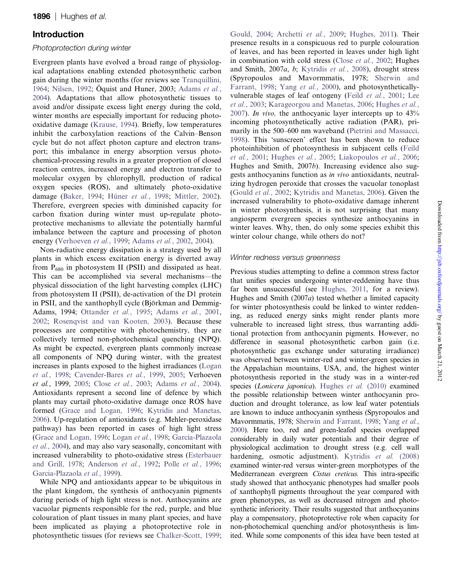# Introduction

## Photoprotection during winter

Evergreen plants have evolved a broad range of physiological adaptations enabling extended photosynthetic carbon gain during the winter months (for reviews see [Tranquillini,](#page-10-0) [1964](#page-10-0); [Nilsen, 1992](#page-10-0); Oquist and Huner, 2003; [Adams](#page-9-0) et al., [2004](#page-9-0)). Adaptations that allow photosynthetic tissues to avoid and/or dissipate excess light energy during the cold, winter months are especially important for reducing photooxidative damage ([Krause, 1994](#page-10-0)). Briefly, low temperatures inhibit the carboxylation reactions of the Calvin–Benson cycle but do not affect photon capture and electron transport; this imbalance in energy absorption versus photochemical-processing results in a greater proportion of closed reaction centres, increased energy and electron transfer to molecular oxygen by chlorophyll, production of radical oxygen species (ROS), and ultimately photo-oxidative damage ([Baker, 1994;](#page-9-0) Hüner et al.[, 1998;](#page-10-0) [Mittler, 2002](#page-10-0)). Therefore, evergreen species with diminished capacity for carbon fixation during winter must up-regulate photoprotective mechanisms to alleviate the potentially harmful imbalance between the capture and processing of photon energy ([Verhoeven](#page-10-0) et al., 1999; [Adams](#page-9-0) et al., 2002, [2004](#page-9-0)).

Non-radiative energy dissipation is a strategy used by all plants in which excess excitation energy is diverted away from  $P_{680}$  in photosystem II (PSII) and dissipated as heat. This can be accomplished via several mechanisms—the physical dissociation of the light harvesting complex (LHC) from photosystem II (PSII), de-activation of the D1 protein in PSII, and the xanthophyll cycle (Björkman and Demmig-Adams, 1994; [Ottander](#page-10-0) et al., 1995; [Adams](#page-9-0) et al., 2001, [2002](#page-9-0); [Rosenqvist and van Kooten, 2003\)](#page-10-0). Because these processes are competitive with photochemistry, they are collectively termed non-photochemical quenching (NPQ). As might be expected, evergreen plants commonly increase all components of NPQ during winter, with the greatest increases in plants exposed to the highest irradiances [\(Logan](#page-10-0) et al.[, 1998;](#page-10-0) [Cavender-Bares](#page-9-0) et al., 1999, [2005](#page-9-0); Verhoeven et al., 1999, [2005](#page-10-0); Close et al.[, 2003;](#page-9-0) [Adams](#page-9-0) et al., 2004). Antioxidants represent a second line of defence by which plants may curtail photo-oxidative damage once ROS have formed ([Grace and Logan, 1996;](#page-9-0) [Kytridis and Manetas,](#page-10-0) [2006\)](#page-10-0). Up-regulation of antioxidants (e.g. Mehler-peroxidase pathway) has been reported in cases of high light stress ([Grace and Logan, 1996;](#page-9-0) [Logan](#page-10-0) et al., 1998; [Garcia-Plazaola](#page-9-0) et al.[, 2004](#page-9-0)), and may also vary seasonally, concomitant with increased vulnerability to photo-oxidative stress [\(Esterbauer](#page-9-0) [and Grill, 1978;](#page-9-0) [Anderson](#page-9-0) et al., 1992; Polle et al.[, 1996;](#page-10-0) [Garcia-Plazaola](#page-9-0) et al., 1999).

While NPQ and antioxidants appear to be ubiquitous in the plant kingdom, the synthesis of anthocyanin pigments during periods of high light stress is not. Anthocyanins are vacuolar pigments responsible for the red, purple, and blue colouration of plant tissues in many plant species, and have been implicated as playing a photoprotective role in photosynthetic tissues (for reviews see [Chalker-Scott, 1999;](#page-9-0) [Gould, 2004;](#page-9-0) [Archetti](#page-9-0) et al., 2009; [Hughes, 2011](#page-9-0)). Their presence results in a conspicuous red to purple colouration of leaves, and has been reported in leaves under high light in combination with cold stress (Close et al.[, 2002;](#page-9-0) Hughes and Smith, 2007a, b; [Kytridis](#page-10-0) et al., 2008), drought stress (Spyropoulos and Mavormmatis, 1978; [Sherwin and](#page-10-0) [Farrant, 1998](#page-10-0); Yang et al.[, 2000\)](#page-10-0), and photosyntheticallyvulnerable stages of leaf ontogeny (Feild et al.[, 2001;](#page-9-0) [Lee](#page-10-0) et al.[, 2003;](#page-10-0) [Karageorgou and Manetas, 2006;](#page-10-0) [Hughes](#page-10-0) et al., [2007](#page-10-0)). In vivo, the anthocyanic layer intercepts up to 43% incoming photosynthetically active radiation (PAR), primarily in the 500–600 nm waveband [\(Pietrini and Massacci,](#page-10-0) [1998](#page-10-0)). This 'sunscreen' effect has been shown to reduce photoinhibition of photosynthesis in subjacent cells [\(Feild](#page-9-0) et al.[, 2001](#page-9-0); [Hughes](#page-10-0) et al., 2005; [Liakopoulos](#page-10-0) et al., 2006; Hughes and Smith, 2007b). Increasing evidence also suggests anthocyanins function as in vivo antioxidants, neutralizing hydrogen peroxide that crosses the vacuolar tonoplast ([Gould](#page-9-0) et al., 2002; [Kytridis and Manetas, 2006](#page-10-0)). Given the increased vulnerability to photo-oxidative damage inherent in winter photosynthesis, it is not surprising that many angiosperm evergreen species synthesize anthocyanins in winter leaves. Why, then, do only some species exhibit this winter colour change, while others do not?

# Winter redness versus greenness

Previous studies attempting to define a common stress factor that unifies species undergoing winter-reddening have thus far been unsuccessful (see [Hughes, 2011](#page-9-0), for a review). Hughes and Smith (2007a) tested whether a limited capacity for winter photosynthesis could be linked to winter reddening, as reduced energy sinks might render plants more vulnerable to increased light stress, thus warranting additional protection from anthocyanin pigments. However, no difference in seasonal photosynthetic carbon gain (i.e. photosynthetic gas exchange under saturating irradiance) was observed between winter-red and winter-green species in the Appalachian mountains, USA, and, the highest winter photosynthesis reported in the study was in a winter-red species (Lonicera japonica). [Hughes](#page-10-0) et al. (2010) examined the possible relationship between winter anthocyanin production and drought tolerance, as low leaf water potentials are known to induce anthocyanin synthesis (Spyropoulos and Mavormmatis, 1978; [Sherwin and Farrant, 1998](#page-10-0); [Yang](#page-10-0) et al., [2000\)](#page-10-0). Here too, red and green-leafed species overlapped considerably in daily water potentials and their degree of physiological acclimation to drought stress (e.g. cell wall hardening, osmotic adjustment). [Kytridis](#page-10-0) et al. (2008) examined winter-red versus winter-green morphotypes of the Mediterranean evergreen Cistus creticus. This intra-specific study showed that anthocyanic phenotypes had smaller pools of xanthophyll pigments throughout the year compared with green phenotypes, as well as decreased nitrogen and photosynthetic inferiority. Their results suggested that anthocyanins play a compensatory, photoprotective role when capacity for non-photochemical quenching and/or photosynthesis is limited. While some components of this idea have been tested at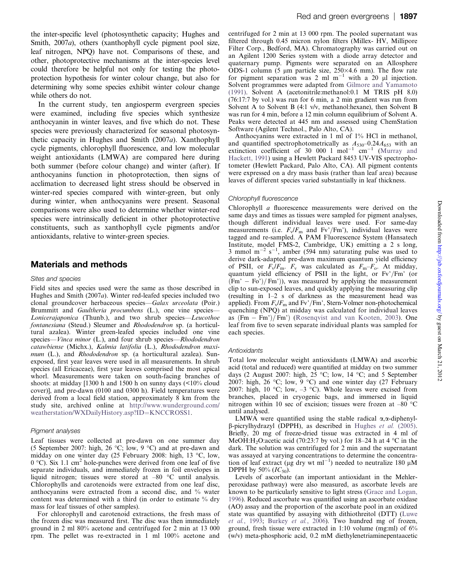the inter-specific level (photosynthetic capacity; Hughes and Smith, 2007a), others (xanthophyll cycle pigment pool size, leaf nitrogen, NPQ) have not. Comparisons of these, and other, photoprotective mechanisms at the inter-species level could therefore be helpful not only for testing the photoprotection hypothesis for winter colour change, but also for determining why some species exhibit winter colour change while others do not.

In the current study, ten angiosperm evergreen species were examined, including five species which synthesize anthocyanin in winter leaves, and five which do not. These species were previously characterized for seasonal photosynthetic capacity in Hughes and Smith (2007a). Xanthophyll cycle pigments, chlorophyll fluorescence, and low molecular weight antioxidants (LMWA) are compared here during both summer (before colour change) and winter (after). If anthocyanins function in photoprotection, then signs of acclimation to decreased light stress should be observed in winter-red species compared with winter-green, but only during winter, when anthocyanins were present. Seasonal comparisons were also used to determine whether winter-red species were intrinsically deficient in other photoprotective constituents, such as xanthophyll cycle pigments and/or antioxidants, relative to winter-green species.

## Materials and methods

#### Sites and species

Field sites and species used were the same as those described in Hughes and Smith (2007a). Winter red-leafed species included two clonal groundcover herbaceous species—Galax urceolata (Poir.) Brummitt and Gaultheria procumbens (L.), one vine species-Lonicerajaponica (Thunb.), and two shrub species—Leucothoe fontanesiana (Steud.) Sleumer and Rhododendron sp. (a horticultural azalea). Winter green-leafed species included one vine species—*Vinca minor* (L.), and four shrub species—*Rhododendron* catawbiense (Michx.), Kalmia latifolia (L.), Rhododendron maximum (L.), and Rhododendron sp. (a horticultural azalea). Sunexposed, first year leaves were used in all measurements. In shrub species (all Ericaceae), first year leaves comprised the most apical whorl. Measurements were taken on south-facing branches of shoots: at midday [1300 h and 1500 h on sunny days (<10% cloud cover)], and pre-dawn (0100 and 0300 h). Field temperatures were derived from a local field station, approximately 8 km from the study site, archived online at [http://www.wunderground.com/](http://www.wunderground.com/weatherstation/WXDailyHistory.asp?ID=KNCCROSS1) [weatherstation/WXDailyHistory.asp?ID](http://www.wunderground.com/weatherstation/WXDailyHistory.asp?ID=KNCCROSS1)=[KNCCROSS1](http://www.wunderground.com/weatherstation/WXDailyHistory.asp?ID=KNCCROSS1).

#### Pigment analyses

Leaf tissues were collected at pre-dawn on one summer day (5 September 2007: high, 26 °C; low, 9 °C) and at pre-dawn and midday on one winter day (25 February 2008: high, 13  $\degree$ C, low,  $0^{\circ}$ C). Six 1.1 cm<sup>2</sup> hole-punches were derived from one leaf of five separate individuals, and immediately frozen in foil envelopes in liquid nitrogen; tissues were stored at  $-80$  °C until analysis. Chlorophylls and carotenoids were extracted from one leaf disc, anthocyanins were extracted from a second disc, and % water content was determined with a third (in order to estimate % dry mass for leaf tissues of other samples).

For chlorophyll and carotenoid extractions, the fresh mass of the frozen disc was measured first. The disc was then immediately ground in 2 ml 80% acetone and centrifuged for 2 min at 13 000 rpm. The pellet was re-extracted in 1 ml 100% acetone and centrifuged for 2 min at 13 000 rpm. The pooled supernatant was filtered through 0.45 micron nylon filters (Millex- HV, Millipore Filter Corp., Bedford, MA). Chromatography was carried out on an Agilent 1200 Series system with a diode array detector and quaternary pump. Pigments were separated on an Allosphere ODS-1 column (5  $\mu$ m particle size, 250×4.6 mm). The flow rate for pigment separation was 2 ml  $m^{-1}$  with a 20  $\mu$ l injection. Solvent programmes were adapted from [Gilmore and Yamamoto](#page-9-0) [\(1991\).](#page-9-0) Solvent A (acetonitrile:methanol:0.1 M TRIS pH 8.0) (76:17:7 by vol.) was run for 6 min, a 2 min gradient was run from Solvent A to Solvent B (4:1 v/v, methanol:hexane), then Solvent B was run for 4 min, before a 12 min column equilibrium of Solvent A. Peaks were detected at 445 nm and assessed using ChemStation Software (Agilent Technol., Palo Alto, CA).

Anthocyanins were extracted in 1 ml of 1% HCl in methanol, and quantified spectrophotometrically as  $A_{530}$ –0.24 $A_{653}$  with an extinction coefficient of 30 000 l mol<sup>-1</sup> cm<sup>-1</sup> [\(Murray and](#page-10-0) [Hackett, 1991\)](#page-10-0) using a Hewlett Packard 8453 UV-VIS spectrophotometer (Hewlett Packard, Palo Alto, CA). All pigment contents were expressed on a dry mass basis (rather than leaf area) because leaves of different species varied substantially in leaf thickness.

#### Chlorophyll fluorescence

Chlorophyll a fluorescence measurements were derived on the same days and times as tissues were sampled for pigment analyses, though different individual leaves were used. For same-day measurements (i.e.  $F_v/F_m$  and Fv'/Fm'), individual leaves were tagged and re-sampled. A PAM Fluorescence System (Hansatech Institute, model FMS-2, Cambridge, UK) emitting a 2 s long, 3 mmol  $m^{-2}$  s<sup>-1</sup>, amber (594 nm) saturating pulse was used to derive dark-adapted pre-dawn maximum quantum yield efficiency of PSII, or  $F_v/F_m$ .  $F_v$  was calculated as  $F_m-F_o$ . At midday, quantum yield efficiency of PSII in the light, or  $Fv'/Fm'$  (or  $(Fm' - Fo')/Fm')$ , was measured by applying the measurement clip to sun-exposed leaves, and quickly applying the measuring clip (resulting in 1–2 s of darkness as the measurement head was applied). From  $F_v/F_m$  and Fv'/Fm', Stern-Volmer non-photochemical quenching (NPQ) at midday was calculated for individual leaves as  $(Fm - Fm')/Fm'$  [\(Rosenqvist and van Kooten, 2003](#page-10-0)). One leaf from five to seven separate individual plants was sampled for each species.

#### **Antioxidants**

Total low molecular weight antioxidants (LMWA) and ascorbic acid (total and reduced) were quantified at midday on two summer days (2 August 2007: high,  $25 \text{ °C}$ ; low, 14  $\text{ °C}$ ; and 5 September 2007: high, 26 °C; low, 9 °C) and one winter day (27 February 2007: high, 10 °C; low,  $-3$  °C). Whole leaves were excised from branches, placed in cryogenic bags, and immersed in liquid nitrogen within 10 sec of excision; tissues were frozen at  $-80$  °C until analysed.

LMWA were quantified using the stable radical  $\alpha$ , $\alpha$ -diphenyl- $\beta$ -picrylhydrazyl (DPPH), as described in [Hughes](#page-10-0) *et al.* (2005). Briefly, 20 mg of freeze-dried tissue was extracted in 4 ml of MeOH:H<sub>2</sub>O:acetic acid (70:23:7 by vol.) for 18–24 h at 4 °C in the dark. The solution was centrifuged for 2 min and the supernatant was assayed at varying concentrations to determine the concentration of leaf extract ( $\mu$ g dry wt ml<sup>-1</sup>) needed to neutralize 180  $\mu$ M DPPH by 50%  $(IC_{50})$ .

Levels of ascorbate (an important antioxidant in the Mehlerperoxidase pathway) were also measured, as ascorbate levels are known to be particularly sensitive to light stress [\(Grace and Logan,](#page-9-0) [1996](#page-9-0)). Reduced ascorbate was quantified using an ascorbate oxidase (AO) assay and the proportion of the ascorbate pool in an oxidized state was quantified by assaying with dithiothreitol (DTT) ([Luwe](#page-10-0) et al.[, 1993;](#page-10-0) [Burkey](#page-9-0) et al., 2006). Two hundred mg of frozen, ground, fresh tissue were extracted in 1:10 volume (mg:ml) of 6% (w/v) meta-phosphoric acid, 0.2 mM diethylenetriaminepentaacetic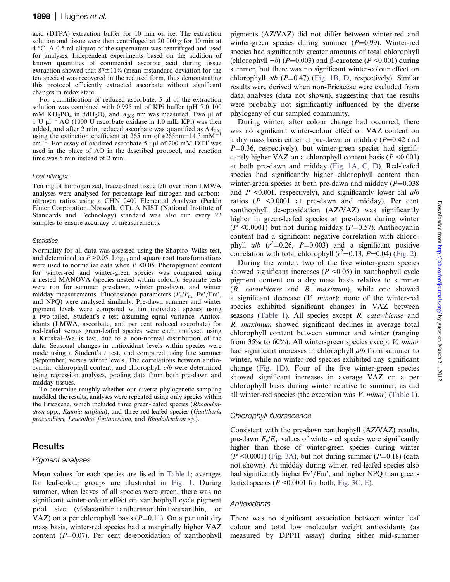acid (DTPA) extraction buffer for 10 min on ice. The extraction solution and tissue were then centrifuged at 20 000 g for 10 min at  $4 \degree C$ . A 0.5 ml aliquot of the supernatant was centrifuged and used for analyses. Independent experiments based on the addition of known quantities of commercial ascorbic acid during tissue extraction showed that  $87\pm11\%$  (mean  $\pm$ standard deviation for the ten species) was recovered in the reduced form, thus demonstrating this protocol efficiently extracted ascorbate without significant changes in redox state.

For quantification of reduced ascorbate,  $5 \mu l$  of the extraction solution was combined with 0.995 ml of KPi buffer (pH 7.0 100 mM KH<sub>2</sub>PO<sub>4</sub> in ddH<sub>2</sub>O), and  $A_{265}$  nm was measured. Two µl of 1 U  $\mu$ l<sup>-1</sup>AO (1000 U ascorbate oxidase in 1.0 mlL KPi) was then added, and after 2 min, reduced ascorbate was quantified as  $\Delta A_{265}$ using the extinction coefficient at 265 nm of  $\varepsilon$ 265nm=14.3 mM<sup>-</sup>  $cm^{-}$ <sup>I</sup>. For assay of oxidized ascorbate 5  $\mu\mu$ l of 200 mM DTT was used in the place of AO in the described protocol, and reaction time was 5 min instead of 2 min.

#### Leaf nitrogen

Ten mg of homogenized, freeze-dried tissue left over from LMWA analyses were analysed for percentage leaf nitrogen and carbon: nitrogen ratios using a CHN 2400 Elemental Analyzer (Perkin Elmer Corporation, Norwalk, CT). A NIST (National Institute of Standards and Technology) standard was also run every 22 samples to ensure accuracy of measurements.

#### **Statistics**

Normality for all data was assessed using the Shapiro–Wilks test, and determined as  $P > 0.05$ . Log<sub>10</sub> and square root transformations were used to normalize data when  $P \leq 0.05$ . Photopigment content for winter-red and winter-green species was compared using a nested MANOVA (species nested within colour). Separate tests were run for summer pre-dawn, winter pre-dawn, and winter midday measurements. Fluorescence parameters  $(F_v/F_m, Fv'/Fm')$ , and NPQ) were analysed similarly. Pre-dawn summer and winter pigment levels were compared within individual species using a two-tailed, Student's t test assuming equal variance. Antioxidants (LMWA, ascorbate, and per cent reduced ascorbate) for red-leafed versus green-leafed species were each analysed using a Kruskal–Wallis test, due to a non-normal distribution of the data. Seasonal changes in antioxidant levels within species were made using a Student's  $t$  test, and compared using late summer (September) versus winter levels. The correlations between anthocyanin, chlorophyll content, and chlorophyll a/b were determined using regression analyses, pooling data from both pre-dawn and midday tissues.

To determine roughly whether our diverse phylogenetic sampling muddled the results, analyses were repeated using only species within the Ericaceae, which included three green-leafed species (Rhododendron spp., Kalmia latifolia), and three red-leafed species (Gaultheria procumbens, Leucothoe fontanesiana, and Rhododendron sp.).

# **Results**

#### Pigment analyses

Mean values for each species are listed in [Table 1](#page-4-0); averages for leaf-colour groups are illustrated in [Fig. 1.](#page-5-0) During summer, when leaves of all species were green, there was no significant winter-colour effect on xanthophyll cycle pigment pool size (violaxanthin+antheraxanthin+zeaxanthin, or VAZ) on a per chlorophyll basis  $(P=0.11)$ . On a per unit dry mass basis, winter-red species had a marginally higher VAZ content  $(P=0.07)$ . Per cent de-epoxidation of xanthophyll pigments (AZ/VAZ) did not differ between winter-red and winter-green species during summer  $(P=0.99)$ . Winter-red species had significantly greater amounts of total chlorophyll (chlorophyll +b) ( $P=0.003$ ) and  $\beta$ -carotene ( $P < 0.001$ ) during summer, but there was no significant winter-colour effect on chlorophyll  $alb$  ( $P=0.47$ ) ([Fig. 1B, D](#page-5-0), respectively). Similar results were derived when non-Ericaceae were excluded from data analyses (data not shown), suggesting that the results were probably not significantly influenced by the diverse phylogeny of our sampled community.

During winter, after colour change had occurred, there was no significant winter-colour effect on VAZ content on a dry mass basis either at pre-dawn or midday  $(P=0.42$  and  $P=0.36$ , respectively), but winter-green species had significantly higher VAZ on a chlorophyll content basis ( $P \le 0.001$ ) at both pre-dawn and midday [\(Fig. 1A, C, D\)](#page-5-0). Red-leafed species had significantly higher chlorophyll content than winter-green species at both pre-dawn and midday ( $P=0.038$ ) and  $P \leq 0.001$ , respectively), and significantly lower chl alb ratios ( $P \le 0.0001$  at pre-dawn and midday). Per cent xanthophyll de-epoxidation (AZ/VAZ) was significantly higher in green-leafed species at pre-dawn during winter  $(P \le 0.0001)$  but not during midday  $(P=0.57)$ . Anthocyanin content had a significant negative correlation with chlorophyll *alb*  $(r^2=0.26, P=0.003)$  and a significant positive correlation with total chlorophyll  $(r^2=0.13, P=0.04)$  [\(Fig. 2](#page-6-0)).

During the winter, two of the five winter-green species showed significant increases ( $P \le 0.05$ ) in xanthophyll cycle pigment content on a dry mass basis relative to summer (R. catawbiense and R. maximum), while one showed a significant decrease  $(V.$  minor); none of the winter-red species exhibited significant changes in VAZ between seasons ([Table 1](#page-4-0)). All species except R. catawbiense and R. maximum showed significant declines in average total chlorophyll content between summer and winter (ranging from 35% to 60%). All winter-green species except  $V$ . minor had significant increases in chlorophyll *alb* from summer to winter, while no winter-red species exhibited any significant change [\(Fig. 1D](#page-5-0)). Four of the five winter-green species showed significant increases in average VAZ on a per chlorophyll basis during winter relative to summer, as did all winter-red species (the exception was  $V$ . *minor*) [\(Table 1](#page-4-0)).

#### Chlorophyll fluorescence

Consistent with the pre-dawn xanthophyll (AZ/VAZ) results, pre-dawn  $F_v/F_m$  values of winter-red species were significantly higher than those of winter-green species during winter  $(P \le 0.0001)$  ([Fig. 3A](#page-7-0)), but not during summer  $(P=0.18)$  (data not shown). At midday during winter, red-leafed species also had significantly higher  $Fv'/Fm'$ , and higher NPQ than greenleafed species ( $P \le 0.0001$  for both; [Fig. 3C, E](#page-7-0)).

#### **Antioxidants**

There was no significant association between winter leaf colour and total low molecular weight antioxidants (as measured by DPPH assay) during either mid-summer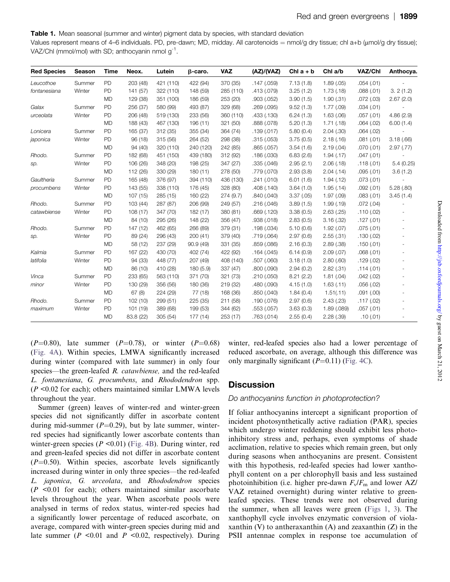## Table 1. Mean seasonal (summer and winter) pigment data by species, with standard deviation

Values represent means of 4–6 individuals. PD, pre-dawn; MD, midday. All carotenoids  $=$  nmol/g dry tissue; chl a+b ( $\mu$ mol/g dry tissue); VAZ/Chl (mmol/mol) with SD; anthocyanin nmol g<sup>-1</sup>.

| <b>Red Species</b> | Season | Time      | Neox.     | Lutein    | $\beta$ -caro. | <b>VAZ</b> | (AZ)/(VAZ)  | Chl $a + b$ | Chl a/b    | VAZ/Chl   | Anthocya.  |
|--------------------|--------|-----------|-----------|-----------|----------------|------------|-------------|-------------|------------|-----------|------------|
| Leucothoe          | Summer | PD        | 203 (48)  | 421 (110) | 422 (94)       | 370 (35)   | .147(.059)  | 7.13(1.8)   | 1.89(.05)  | .054(.01) |            |
| fontanesiana       | Winter | PD        | 141 (57)  | 322 (110) | 148 (59)       | 285 (110)  | .413 (.079) | 3.25(1.2)   | 1.73(0.18) | .088(.01) | 3.2(1.2)   |
|                    |        | <b>MD</b> | 129 (38)  | 351 (100) | 186 (59)       | 253 (20)   | .903(.052)  | 3.90(1.5)   | 1.90(.31)  | .072(.03) | 2.67(2.0)  |
| Galax              | Summer | PD        | 256 (37)  | 580 (99)  | 493 (87)       | 329 (68)   | .269 (.095) | 9.52(1.3)   | 1.77(.09)  | .034(.01) |            |
| urceolata          | Winter | PD        | 206 (48)  | 519 (130) | 233 (56)       | 360 (110)  | .433 (.130) | 6.24(1.3)   | 1.63(.06)  | .057(.01) | 4.86(2.9)  |
|                    |        | <b>MD</b> | 188 (43)  | 467 (130) | 196 (11)       | 321 (50)   | .888 (.078) | 5.20(1.3)   | 1.71(0.18) | .064(.02) | 6.00(1.4)  |
| Lonicera           | Summer | PD        | 165 (37)  | 312 (35)  | 355 (34)       | 364 (74)   | .139(.017)  | 5.80(0.4)   | 2.04(.30)  | .064(.02) |            |
| japonica           | Winter | PD        | 96 (18)   | 315 (56)  | 264 (52)       | 298 (38)   | .315(.053)  | 3.75(0.5)   | 2.18(.16)  | .081(.01) | 3.18(.66)  |
|                    |        | <b>MD</b> | 94 (40)   | 320 (110) | 240 (120)      | 242 (85)   | .865 (.057) | 3.54(1.6)   | 2.19(0.04) | .070(.01) | 2.97(0.77) |
| Rhodo.             | Summer | PD        | 182 (68)  | 451 (150) | 439 (180)      | 312 (92)   | .186(.030)  | 6.83(2.6)   | 1.94(0.17) | .047(.01) |            |
| sp.                | Winter | PD        | 106 (26)  | 348 (20)  | 198 (25)       | 347 (27)   | .335(.046)  | 2.95(2.1)   | 2.06(0.18) | .118(.01) | 5.4(0.25)  |
|                    |        | <b>MD</b> | 112 (26)  | 330 (29)  | 180 (11)       | 278 (50)   | .779 (.070) | 2.93(3.8)   | 2.04(0.14) | .095(.01) | 3.6(1.2)   |
| Gaultheria         | Summer | PD        | 165 (48)  | 376 (97)  | 394 (110)      | 436 (130)  | .241 (.010) | 6.01(1.6)   | 1.94(0.12) | .073(.01) |            |
| procumbens         | Winter | PD        | 143 (55)  | 338 (110) | 176 (45)       | 328 (80)   | .408 (.140) | 3.64(1.0)   | 1.95(0.14) | .092(.01) | 5.28(.80)  |
|                    |        | <b>MD</b> | 107 (15)  | 285 (15)  | 160 (22)       | 274 (9.7)  | .840 (.040) | 3.37(0.05)  | 1.97(.09)  | .083(.01) | 3.45(1.4)  |
| Rhodo.             | Summer | PD        | 103 (44)  | 287 (87)  | 206 (99)       | 249 (57)   | .216 (.046) | 3.89(1.5)   | 1.99(0.19) | .072(.04) |            |
| catawbiense        | Winter | <b>PD</b> | 108 (17)  | 347 (70)  | 182 (17)       | 380 (81)   | .669(.120)  | 3.38(0.5)   | 2.63(.25)  | .110(.02) |            |
|                    |        | <b>MD</b> | 84 (10)   | 295 (26)  | 148 (22)       | 356 (47)   | .938 (.018) | 2.83(0.5)   | 3.16(.32)  | .127(.01) |            |
| Rhodo.             | Summer | PD        | 147 (12)  | 462 (65)  | 266 (89)       | 379 (31)   | .198 (.034) | 5.10(0.6)   | 1.92(.07)  | .075(.01) |            |
| sp.                | Winter | PD        | 89 (24)   | 296 (43)  | 200(41)        | 379 (40)   | .719 (.064) | 2.97(0.6)   | 2.55(.31)  | .130(.02) |            |
|                    |        | <b>MD</b> | 58 (12)   | 237 (29)  | 90.9(49)       | 331 (35)   | .859 (.086) | 2.16(0.3)   | 2.89(.38)  | .150(.01) |            |
| Kalmia             | Summer | PD        | 167 (22)  | 430 (70)  | 402 (74)       | 422 (92)   | .164(.045)  | 6.14(0.9)   | 2.09(.07)  | .068(.01) |            |
| latifolia          | Winter | PD        | 94 (33)   | 448 (77)  | 207 (49)       | 408 (140)  | .507 (.060) | 3.18(1.0)   | 2.80(.60)  | .129(.02) |            |
|                    |        | <b>MD</b> | 86 (10)   | 410 (28)  | 180 (5.9)      | 337 (47)   | .800 (.090) | 2.94(0.2)   | 2.82(.31)  | .114(.01) |            |
| Vinca              | Summer | PD        | 233 (65)  | 563 (110) | 371 (70)       | 321 (73)   | .210 (.050) | 8.21(2.2)   | 1.81(.04)  | .042(.02) |            |
| minor              | Winter | PD        | 130 (29)  | 356 (56)  | 180 (36)       | 219 (32)   | .480 (.090) | 4.15(1.0)   | 1.63(0.11) | .056(.02) |            |
|                    |        | <b>MD</b> | 67(8)     | 224 (29)  | 77 (18)        | 168 (36)   | .850(.040)  | 1.84(0.4)   | 1.51(.11)  | .091(.00) |            |
| Rhodo.             | Summer | PD        | 102 (10)  | 299 (51)  | 225 (35)       | 211 (58)   | .190 (.076) | 2.97(0.6)   | 2.43(.23)  | .117(.02) |            |
| maximum            | Winter | PD        | 101 (19)  | 389 (68)  | 199 (53)       | 344 (62)   | .553 (.057) | 3.63(0.3)   | 1.89(.089) | .057(.01) |            |
|                    |        | <b>MD</b> | 83.8 (22) | 305 (54)  | 177 (14)       | 253 (17)   | .763 (.014) | 2.55(0.4)   | 2.28(.39)  | .10(0.01) |            |

 $(P=0.80)$ , late summer  $(P=0.78)$ , or winter  $(P=0.68)$ [\(Fig. 4A](#page-8-0)). Within species, LMWA significantly increased during winter (compared with late summer) in only four species—the green-leafed R. *catawbiense*, and the red-leafed L. fontanesiana, G. procumbens, and Rhododendron spp.  $(P \le 0.02$  for each); others maintained similar LMWA levels throughout the year.

<span id="page-4-0"></span>Summer (green) leaves of winter-red and winter-green species did not significantly differ in ascorbate content during mid-summer ( $P=0.29$ ), but by late summer, winterred species had significantly lower ascorbate contents than winter-green species ( $P \le 0.01$ ) ([Fig. 4B](#page-8-0)). During winter, red and green-leafed species did not differ in ascorbate content  $(P=0.50)$ . Within species, ascorbate levels significantly increased during winter in only three species—the red-leafed L. japonica, G. urceolata, and Rhododendron species  $(P \leq 0.01$  for each); others maintained similar ascorbate levels throughout the year. When ascorbate pools were analysed in terms of redox status, winter-red species had a significantly lower percentage of reduced ascorbate, on average, compared with winter-green species during mid and late summer ( $P \le 0.01$  and  $P \le 0.02$ , respectively). During winter, red-leafed species also had a lower percentage of reduced ascorbate, on average, although this difference was only marginally significant  $(P=0.11)$  [\(Fig. 4C](#page-8-0)).

## **Discussion**

## Do anthocyanins function in photoprotection?

If foliar anthocyanins intercept a significant proportion of incident photosynthetically active radiation (PAR), species which undergo winter reddening should exhibit less photoinhibitory stress and, perhaps, even symptoms of shade acclimation, relative to species which remain green, but only during seasons when anthocyanins are present. Consistent with this hypothesis, red-leafed species had lower xanthophyll content on a per chlorophyll basis and less sustained photoinhibition (i.e. higher pre-dawn  $F_v/F_m$  and lower AZ/ VAZ retained overnight) during winter relative to greenleafed species. These trends were not observed during the summer, when all leaves were green ([Figs 1,](#page-5-0) [3](#page-7-0)). The xanthophyll cycle involves enzymatic conversion of violaxanthin  $(V)$  to antheraxanthin  $(A)$  and zeaxanthin  $(Z)$  in the PSII antennae complex in response toe accumulation of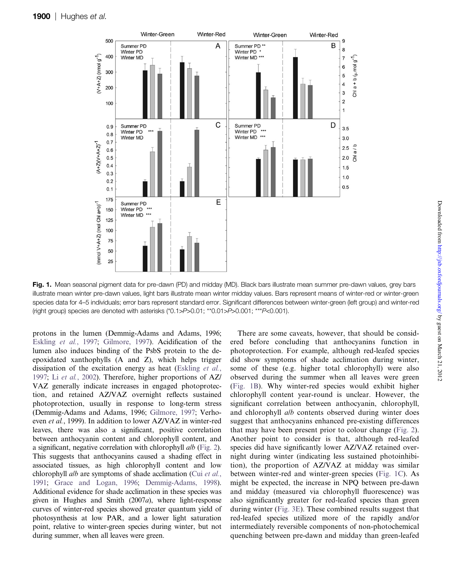

Fig. 1. Mean seasonal pigment data for pre-dawn (PD) and midday (MD). Black bars illustrate mean summer pre-dawn values, grey bars illustrate mean winter pre-dawn values, light bars illustrate mean winter midday values. Bars represent means of winter-red or winter-green species data for 4–5 individuals; error bars represent standard error. Significant differences between winter-green (left group) and winter-red (right group) species are denoted with asterisks (\*0.1>P>0.01; \*\*0.01>P>0.001; \*\*\*P<0.001).

<span id="page-5-0"></span>protons in the lumen (Demmig-Adams and Adams, 1996; [Eskling](#page-9-0) et al., 1997; [Gilmore, 1997](#page-9-0)). Acidification of the lumen also induces binding of the PsbS protein to the deepoxidated xanthophylls (A and Z), which helps trigger dissipation of the excitation energy as heat ([Eskling](#page-9-0) et al., [1997;](#page-9-0) Li et al.[, 2002](#page-10-0)). Therefore, higher proportions of AZ/ VAZ generally indicate increases in engaged photoprotection, and retained AZ/VAZ overnight reflects sustained photoprotection, usually in response to long-term stress (Demmig-Adams and Adams, 1996; [Gilmore, 1997](#page-9-0); Verhoeven et al., 1999). In addition to lower AZ/VAZ in winter-red leaves, there was also a significant, positive correlation between anthocyanin content and chlorophyll content, and a significant, negative correlation with chlorophyll a/b ([Fig. 2\)](#page-6-0). This suggests that anthocyanins caused a shading effect in associated tissues, as high chlorophyll content and low chlorophyll *alb* are symptoms of shade acclimation (Cui [et al.](#page-9-0), [1991](#page-9-0); [Grace and Logan, 1996](#page-9-0); [Demmig-Adams, 1998\)](#page-9-0). Additional evidence for shade acclimation in these species was given in Hughes and Smith (2007a), where light-response curves of winter-red species showed greater quantum yield of photosynthesis at low PAR, and a lower light saturation point, relative to winter-green species during winter, but not during summer, when all leaves were green.

There are some caveats, however, that should be considered before concluding that anthocyanins function in photoprotection. For example, although red-leafed species did show symptoms of shade acclimation during winter, some of these (e.g. higher total chlorophyll) were also observed during the summer when all leaves were green ([Fig. 1B](#page-5-0)). Why winter-red species would exhibit higher chlorophyll content year-round is unclear. However, the significant correlation between anthocyanin, chlorophyll, and chlorophyll a/b contents observed during winter does suggest that anthocyanins enhanced pre-existing differences that may have been present prior to colour change [\(Fig. 2](#page-6-0)). Another point to consider is that, although red-leafed species did have significantly lower AZ/VAZ retained overnight during winter (indicating less sustained photoinhibition), the proportion of AZ/VAZ at midday was similar between winter-red and winter-green species [\(Fig. 1C\)](#page-5-0). As might be expected, the increase in NPQ between pre-dawn and midday (measured via chlorophyll fluorescence) was also significantly greater for red-leafed species than green during winter [\(Fig. 3E\)](#page-7-0). These combined results suggest that red-leafed species utilized more of the rapidly and/or intermediately reversible components of non-photochemical quenching between pre-dawn and midday than green-leafed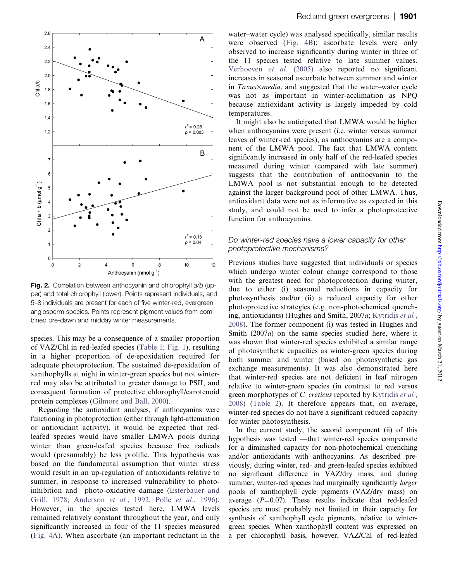

Fig. 2. Correlation between anthocyanin and chlorophyll a/b (upper) and total chlorophyll (lower). Points represent individuals, and 5–8 individuals are present for each of five winter-red, evergreen angiosperm species. Points represent pigment values from combined pre-dawn and midday winter measurements.

species. This may be a consequence of a smaller proportion of VAZ/Chl in red-leafed species [\(Table 1;](#page-4-0) [Fig. 1\)](#page-5-0), resulting in a higher proportion of de-epoxidation required for adequate photoprotection. The sustained de-epoxidation of xanthophylls at night in winter-green species but not winterred may also be attributed to greater damage to PSII, and consequent formation of protective chlorophyll/carotenoid protein complexes ([Gilmore and Ball, 2000](#page-9-0)).

<span id="page-6-0"></span>Regarding the antioxidant analyses, if anthocyanins were functioning in photoprotection (either through light-attenuation or antioxidant activity), it would be expected that redleafed species would have smaller LMWA pools during winter than green-leafed species because free radicals would (presumably) be less prolific. This hypothesis was based on the fundamental assumption that winter stress would result in an up-regulation of antioxidants relative to summer, in response to increased vulnerability to photoinhibition and photo-oxidative damage ([Esterbauer and](#page-9-0) [Grill, 1978;](#page-9-0) [Anderson](#page-9-0) et al., 1992; Polle et al.[, 1996\)](#page-10-0). However, in the species tested here, LMWA levels remained relatively constant throughout the year, and only significantly increased in four of the 11 species measured [\(Fig. 4A](#page-8-0)). When ascorbate (an important reductant in the water–water cycle) was analysed specifically, similar results were observed ([Fig. 4B\)](#page-8-0); ascorbate levels were only observed to increase significantly during winter in three of the 11 species tested relative to late summer values. [Verhoeven](#page-10-0) et al. (2005) also reported no significant increases in seasonal ascorbate between summer and winter in  $Taxus \times media$ , and suggested that the water–water cycle was not as important in winter-acclimation as NPQ because antioxidant activity is largely impeded by cold temperatures.

It might also be anticipated that LMWA would be higher when anthocyanins were present (i.e. winter versus summer leaves of winter-red species), as anthocyanins are a component of the LMWA pool. The fact that LMWA content significantly increased in only half of the red-leafed species measured during winter (compared with late summer) suggests that the contribution of anthocyanin to the LMWA pool is not substantial enough to be detected against the larger background pool of other LMWA. Thus, antioxidant data were not as informative as expected in this study, and could not be used to infer a photoprotective function for anthocyanins.

## Do winter-red species have a lower capacity for other photoprotective mechanisms?

Previous studies have suggested that individuals or species which undergo winter colour change correspond to those with the greatest need for photoprotection during winter, due to either (i) seasonal reductions in capacity for photosynthesis and/or (ii) a reduced capacity for other photoprotective strategies (e.g. non-photochemical quenching, antioxidants) (Hughes and Smith, 2007a; [Kytridis](#page-10-0) et al., [2008\)](#page-10-0). The former component (i) was tested in Hughes and Smith (2007a) on the same species studied here, where it was shown that winter-red species exhibited a similar range of photosynthetic capacities as winter-green species during both summer and winter (based on photosynthetic gas exchange measurements). It was also demonstrated here that winter-red species are not deficient in leaf nitrogen relative to winter-green species (in contrast to red versus green morphotypes of C. creticus reported by [Kytridis](#page-10-0) et al., [2008\)](#page-10-0) ([Table 2](#page-8-0)). It therefore appears that, on average, winter-red species do not have a significant reduced capacity for winter photosynthesis.

In the current study, the second component (ii) of this hypothesis was tested —that winter-red species compensate for a diminished capacity for non-photochemical quenching and/or antioxidants with anthocyanins. As described previously, during winter, red- and green-leafed species exhibited no significant difference in VAZ/dry mass, and during summer, winter-red species had marginally significantly *larger* pools of xanthophyll cycle pigments (VAZ/dry mass) on average  $(P=0.07)$ . These results indicate that red-leafed species are most probably not limited in their capacity for synthesis of xanthophyll cycle pigments, relative to wintergreen species. When xanthophyll content was expressed on a per chlorophyll basis, however, VAZ/Chl of red-leafed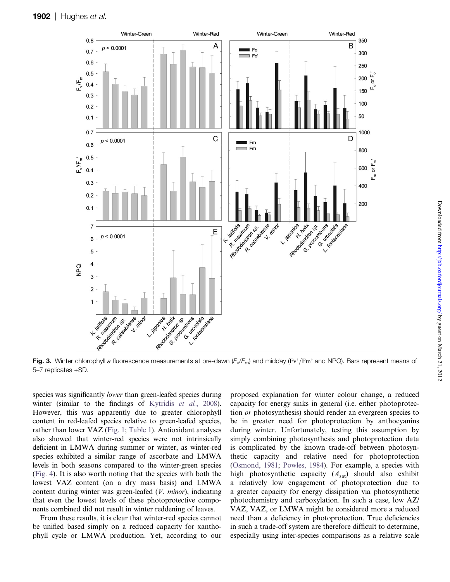

Fig. 3. Winter chlorophyll a fluorescence measurements at pre-dawn  $(F_v/F_m)$  and midday (Fv'/Fm' and NPQ). Bars represent means of 5–7 replicates +SD.

species was significantly *lower* than green-leafed species during winter (similar to the findings of [Kytridis](#page-10-0) et al., 2008). However, this was apparently due to greater chlorophyll content in red-leafed species relative to green-leafed species, rather than lower VAZ [\(Fig. 1;](#page-5-0) [Table 1](#page-4-0)). Antioxidant analyses also showed that winter-red species were not intrinsically deficient in LMWA during summer or winter, as winter-red species exhibited a similar range of ascorbate and LMWA levels in both seasons compared to the winter-green species ([Fig. 4](#page-8-0)). It is also worth noting that the species with both the lowest VAZ content (on a dry mass basis) and LMWA content during winter was green-leafed (V. minor), indicating that even the lowest levels of these photoprotective components combined did not result in winter reddening of leaves.

<span id="page-7-0"></span>From these results, it is clear that winter-red species cannot be unified based simply on a reduced capacity for xanthophyll cycle or LMWA production. Yet, according to our proposed explanation for winter colour change, a reduced capacity for energy sinks in general (i.e. either photoprotection or photosynthesis) should render an evergreen species to be in greater need for photoprotection by anthocyanins during winter. Unfortunately, testing this assumption by simply combining photosynthesis and photoprotection data is complicated by the known trade-off between photosynthetic capacity and relative need for photoprotection ([Osmond, 1981](#page-10-0); [Powles, 1984](#page-10-0)). For example, a species with high photosynthetic capacity  $(A_{sat})$  should also exhibit a relatively low engagement of photoprotection due to a greater capacity for energy dissipation via photosynthetic photochemistry and carboxylation. In such a case, low AZ/ VAZ, VAZ, or LMWA might be considered more a reduced need than a deficiency in photoprotection. True deficiencies in such a trade-off system are therefore difficult to determine, especially using inter-species comparisons as a relative scale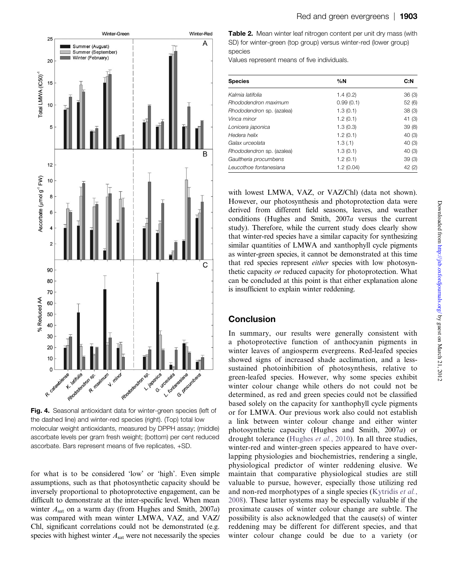

Fig. 4. Seasonal antioxidant data for winter-green species (left of the dashed line) and winter-red species (right). (Top) total low molecular weight antioxidants, measured by DPPH assay; (middle) ascorbate levels per gram fresh weight; (bottom) per cent reduced ascorbate. Bars represent means of five replicates, +SD.

<span id="page-8-0"></span>for what is to be considered 'low' or 'high'. Even simple assumptions, such as that photosynthetic capacity should be inversely proportional to photoprotective engagement, can be difficult to demonstrate at the inter-specific level. When mean winter  $A<sub>sat</sub>$  on a warm day (from Hughes and Smith, 2007a) was compared with mean winter LMWA, VAZ, and VAZ/ Chl, significant correlations could not be demonstrated (e.g. species with highest winter  $A_{\text{sat}}$  were not necessarily the species

Table 2. Mean winter leaf nitrogen content per unit dry mass (with SD) for winter-green (top group) versus winter-red (lower group) species

Values represent means of five individuals.

| <b>Species</b>            | %N        | C: N   |  |
|---------------------------|-----------|--------|--|
| Kalmia latifolia          | 1.4(0.2)  | 36(3)  |  |
| Rhododendron maximum      | 0.99(0.1) | 52(6)  |  |
| Rhododendron sp. (azalea) | 1.3(0.1)  | 38(3)  |  |
| Vinca minor               | 1.2(0.1)  | 41 (3) |  |
| Lonicera japonica         | 1.3(0.3)  | 39(8)  |  |
| Hedera helix              | 1.2(0.1)  | 40(3)  |  |
| Galax urceolata           | 1.3(1)    | 40(3)  |  |
| Rhododendron sp. (azalea) | 1.3(0.1)  | 40(3)  |  |
| Gaultheria procumbens     | 1.2(0.1)  | 39(3)  |  |
| Leucothoe fontanesiana    | 1.2(0.04) | 42(2)  |  |

with lowest LMWA, VAZ, or VAZ/Chl) (data not shown). However, our photosynthesis and photoprotection data were derived from different field seasons, leaves, and weather conditions (Hughes and Smith, 2007a versus the current study). Therefore, while the current study does clearly show that winter-red species have a similar capacity for synthesizing similar quantities of LMWA and xanthophyll cycle pigments as winter-green species, it cannot be demonstrated at this time that red species represent either species with low photosynthetic capacity or reduced capacity for photoprotection. What can be concluded at this point is that either explanation alone is insufficient to explain winter reddening.

# Conclusion

In summary, our results were generally consistent with a photoprotective function of anthocyanin pigments in winter leaves of angiosperm evergreens. Red-leafed species showed signs of increased shade acclimation, and a lesssustained photoinhibition of photosynthesis, relative to green-leafed species. However, why some species exhibit winter colour change while others do not could not be determined, as red and green species could not be classified based solely on the capacity for xanthophyll cycle pigments or for LMWA. Our previous work also could not establish a link between winter colour change and either winter photosynthetic capacity (Hughes and Smith, 2007a) or drought tolerance ([Hughes](#page-10-0) et al., 2010). In all three studies, winter-red and winter-green species appeared to have overlapping physiologies and biochemistries, rendering a single, physiological predictor of winter reddening elusive. We maintain that comparative physiological studies are still valuable to pursue, however, especially those utilizing red and non-red morphotypes of a single species [\(Kytridis](#page-10-0) et al., [2008\)](#page-10-0). These latter systems may be especially valuable if the proximate causes of winter colour change are subtle. The possibility is also acknowledged that the cause(s) of winter reddening may be different for different species, and that winter colour change could be due to a variety (or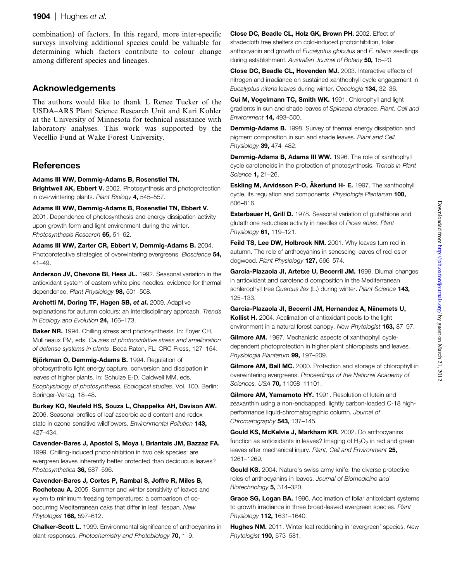## 1904  $\mid$  Hughes et al.

combination) of factors. In this regard, more inter-specific surveys involving additional species could be valuable for determining which factors contribute to colour change among different species and lineages.

# Acknowledgements

The authors would like to thank L Renee Tucker of the USDA–ARS Plant Science Research Unit and Kari Kohler at the University of Minnesota for technical assistance with laboratory analyses. This work was supported by the Vecellio Fund at Wake Forest University.

# **References**

## Adams III WW, Demmig-Adams B, Rosenstiel TN,

**Brightwell AK, Ebbert V,** 2002. Photosynthesis and photoprotection in overwintering plants. Plant Biology 4, 545-557.

Adams III WW, Demmig-Adams B, Rosenstiel TN, Ebbert V. 2001. Dependence of photosynthesis and energy dissipation activity upon growth form and light environment during the winter. Photosynthesis Research 65, 51-62.

Adams III WW, Zarter CR, Ebbert V, Demmig-Adams B. 2004. Photoprotective strategies of overwintering evergreens. Bioscience 54, 41–49.

Anderson JV, Chevone BI, Hess JL. 1992. Seasonal variation in the antioxidant system of eastern white pine needles: evidence for thermal dependence. Plant Physiology 98, 501-508.

Archetti M, Doring TF, Hagen SB, et al. 2009. Adaptive explanations for autumn colours: an interdisciplinary approach. Trends in Ecology and Evolution 24, 166-173.

Baker NR. 1994. Chilling stress and photosynthesis. In: Foyer CH, Mullineaux PM, eds. Causes of photooxidative stress and amelioration of defense systems in plants. Boca Raton, FL: CRC Press, 127–154.

Björkman O, Demmig-Adams B. 1994. Regulation of photosynthetic light energy capture, conversion and dissipation in leaves of higher plants. In: Schulze E-D, Caldwell MM, eds. Ecophysiology of photosynthesis. Ecological studies, Vol. 100. Berlin: Springer-Verlag, 18–48.

Burkey KO, Neufeld HS, Souza L, Chappelka AH, Davison AW. 2006. Seasonal profiles of leaf ascorbic acid content and redox state in ozone-sensitive wildflowers. Environmental Pollution 143, 427–434.

Cavender-Bares J, Apostol S, Moya I, Briantais JM, Bazzaz FA. 1999. Chilling-induced photoinhibition in two oak species: are evergreen leaves inherently better protected than deciduous leaves? Photosynthetica 36, 587-596.

Cavender-Bares J, Cortes P, Rambal S, Joffre R, Miles B, Rocheteau A. 2005. Summer and winter sensitivity of leaves and xylem to minimum freezing temperatures: a comparison of cooccurring Mediterranean oaks that differ in leaf lifespan. New Phytologist 168. 597-612.

<span id="page-9-0"></span>Chalker-Scott L. 1999. Environmental significance of anthocyanins in plant responses. Photochemistry and Photobiology 70, 1–9.

Close DC, Beadle CL, Holz GK, Brown PH. 2002. Effect of shadecloth tree shelters on cold-induced photoinhibition, foliar anthocyanin and growth of Eucalyptus globulus and E. nitens seedlings during establishment. Australian Journal of Botany 50, 15-20.

Close DC, Beadle CL, Hovenden MJ. 2003. Interactive effects of nitrogen and irradiance on sustained xanthophyll cycle engagement in Eucalyptus nitens leaves during winter. Oecologia 134, 32-36.

Cui M, Vogelmann TC, Smith WK. 1991. Chlorophyll and light gradients in sun and shade leaves of Spinacia oleracea. Plant, Cell and Environment 14, 493–500.

Demmig-Adams B. 1998. Survey of thermal energy dissipation and pigment composition in sun and shade leaves. Plant and Cell Physiology 39, 474-482.

Demmig-Adams B, Adams III WW. 1996. The role of xanthophyll cycle carotenoids in the protection of photosynthesis. Trends in Plant Science **1,** 21-26.

Eskling M, Arvidsson P-O, A<sup>kerlund H-</sup> E. 1997. The xanthophyll cycle, its regulation and components. Physiologia Plantarum 100, 806–816.

**Esterbauer H, Grill D.** 1978. Seasonal variation of glutathione and glutathione reductase activity in needles of Picea abies. Plant Physiology 61, 119–121.

Feild TS, Lee DW, Holbrook NM. 2001. Why leaves turn red in autumn. The role of anthocyanins in senescing leaves of red-osier dogwood. Plant Physiology 127, 566-574.

Garcia-Plazaola JI, Artetxe U, Becerril JM. 1999. Diurnal changes in antioxidant and carotenoid composition in the Mediterranean schlerophyll tree Quercus ilex (L.) during winter. Plant Science 143, 125–133.

Garcia-Plazaola JI, Becerril JM, Hernandez A, Niinemets U, Kollist H. 2004. Acclimation of antioxidant pools to the light environment in a natural forest canopy. New Phytologist 163, 87-97.

Gilmore AM. 1997. Mechanistic aspects of xanthophyll cycledependent photoprotection in higher plant chloroplasts and leaves. Physiologia Plantarum 99, 197-209.

Gilmore AM, Ball MC. 2000. Protection and storage of chlorophyll in overwintering evergreens. Proceedings of the National Academy of Sciences, USA **70,** 11098-11101.

Gilmore AM, Yamamoto HY. 1991. Resolution of lutein and zeaxanthin using a non-endcapped, lightly carbon-loaded C-18 highperformance liquid-chromatographic column. Journal of Chromatography 543, 137-145.

Gould KS, McKelvie J, Markham KR. 2002. Do anthocyanins function as antioxidants in leaves? Imaging of  $H_2O_2$  in red and green leaves after mechanical injury. Plant, Cell and Environment 25, 1261–1269.

Gould KS. 2004. Nature's swiss army knife: the diverse protective roles of anthocyanins in leaves. Journal of Biomedicine and Biotechnology 5, 314-320.

Grace SG, Logan BA. 1996. Acclimation of foliar antioxidant systems to growth irradiance in three broad-leaved evergreen species. Plant Physiology **112.** 1631-1640.

**Hughes NM.** 2011. Winter leaf reddening in 'evergreen' species. New Phytologist **190.** 573-581.